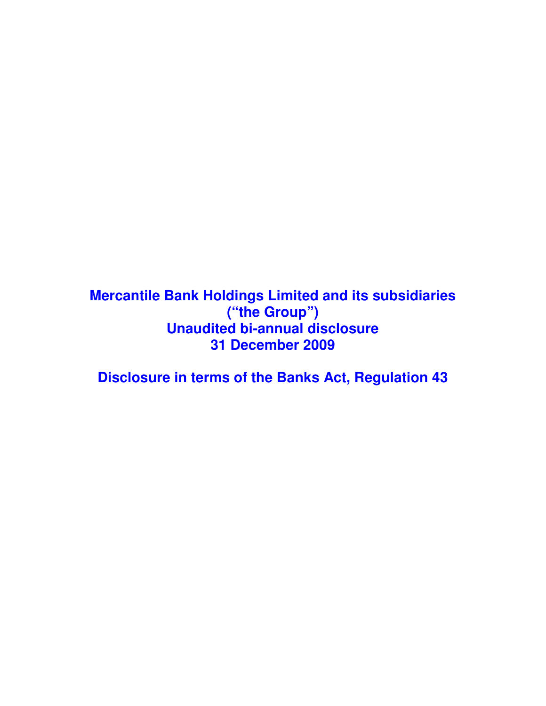**Mercantile Bank Holdings Limited and its subsidiaries ("the Group") Unaudited bi-annual disclosure 31 December 2009** 

**Disclosure in terms of the Banks Act, Regulation 43**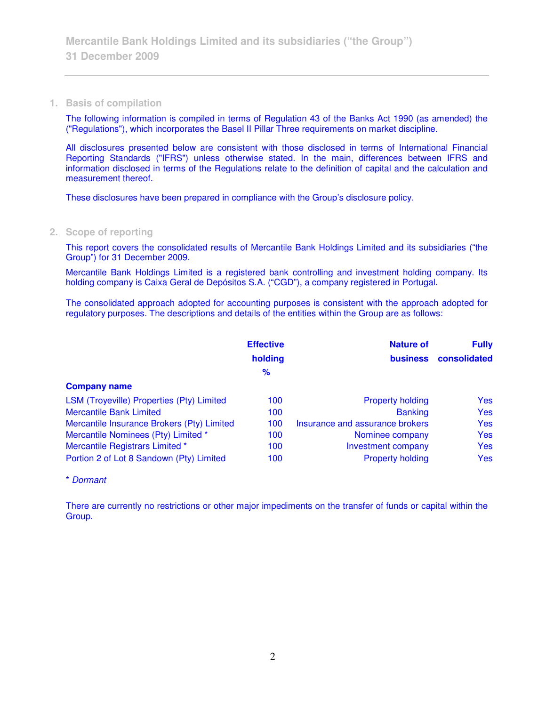## **1. Basis of compilation**

The following information is compiled in terms of Regulation 43 of the Banks Act 1990 (as amended) the ("Regulations"), which incorporates the Basel II Pillar Three requirements on market discipline.

All disclosures presented below are consistent with those disclosed in terms of International Financial Reporting Standards ("IFRS") unless otherwise stated. In the main, differences between IFRS and information disclosed in terms of the Regulations relate to the definition of capital and the calculation and measurement thereof.

These disclosures have been prepared in compliance with the Group's disclosure policy.

## **2. Scope of reporting**

This report covers the consolidated results of Mercantile Bank Holdings Limited and its subsidiaries ("the Group") for 31 December 2009.

Mercantile Bank Holdings Limited is a registered bank controlling and investment holding company. Its holding company is Caixa Geral de Depósitos S.A. ("CGD"), a company registered in Portugal.

The consolidated approach adopted for accounting purposes is consistent with the approach adopted for regulatory purposes. The descriptions and details of the entities within the Group are as follows:

|                                            | <b>Effective</b> | <b>Nature of</b>                | <b>Fully</b> |
|--------------------------------------------|------------------|---------------------------------|--------------|
|                                            | holding          | <b>business</b>                 | consolidated |
|                                            | $\frac{9}{6}$    |                                 |              |
| <b>Company name</b>                        |                  |                                 |              |
| LSM (Troyeville) Properties (Pty) Limited  | 100              | <b>Property holding</b>         | <b>Yes</b>   |
| <b>Mercantile Bank Limited</b>             | 100              | <b>Banking</b>                  | <b>Yes</b>   |
| Mercantile Insurance Brokers (Pty) Limited | 100              | Insurance and assurance brokers | <b>Yes</b>   |
| Mercantile Nominees (Pty) Limited *        | 100              | Nominee company                 | <b>Yes</b>   |
| Mercantile Registrars Limited *            | 100              | Investment company              | <b>Yes</b>   |
| Portion 2 of Lot 8 Sandown (Pty) Limited   | 100              | <b>Property holding</b>         | <b>Yes</b>   |

### \* Dormant

There are currently no restrictions or other major impediments on the transfer of funds or capital within the Group.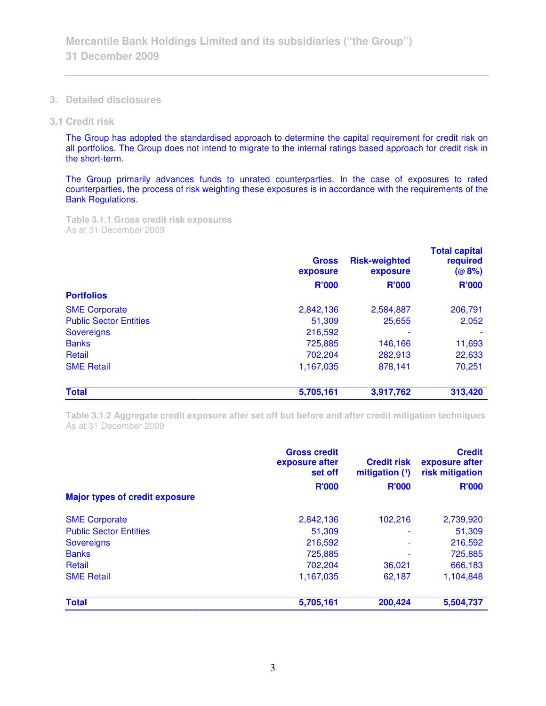**3. Detailed disclosures** 

### **3.1 Credit risk**

The Group has adopted the standardised approach to determine the capital requirement for credit risk on all portfolios. The Group does not intend to migrate to the internal ratings based approach for credit risk in the short-term.

The Group primarily advances funds to unrated counterparties. In the case of exposures to rated counterparties, the process of risk weighting these exposures is in accordance with the requirements of the Bank Regulations.

**Table 3.1.1 Gross credit risk exposures**  As at 31 December 2009

|                                                       | <b>Gross</b><br>exposure | <b>Risk-weighted</b><br>exposure | <b>Total capital</b><br>required<br>(@8%)<br><b>R'000</b> |
|-------------------------------------------------------|--------------------------|----------------------------------|-----------------------------------------------------------|
|                                                       | <b>R'000</b>             | <b>R'000</b>                     |                                                           |
| <b>Portfolios</b>                                     |                          |                                  |                                                           |
| <b>SME Corporate</b><br><b>Public Sector Entities</b> | 2,842,136                | 2,584,887                        | 206,791                                                   |
|                                                       | 51,309<br>216,592        | 25,655                           | 2,052                                                     |
| <b>Sovereigns</b>                                     |                          |                                  |                                                           |
| <b>Banks</b>                                          | 725,885                  | 146,166                          | 11,693                                                    |
| Retail                                                | 702,204                  | 282,913                          | 22,633                                                    |
| <b>SME Retail</b>                                     | 1,167,035                | 878,141                          | 70,251                                                    |
| <b>Total</b>                                          | 5,705,161                | 3,917,762                        | 313,420                                                   |

**Table 3.1.2 Aggregate credit exposure after set off but before and after credit mitigation techniques**  As at 31 December 2009

|                                       | <b>Gross credit</b><br>exposure after<br>set off | <b>Credit risk</b><br>mitigation $(1)$ | <b>Credit</b><br>exposure after<br>risk mitigation |
|---------------------------------------|--------------------------------------------------|----------------------------------------|----------------------------------------------------|
| <b>Major types of credit exposure</b> | <b>R'000</b>                                     | <b>R'000</b>                           | <b>R'000</b>                                       |
| <b>SME Corporate</b>                  | 2,842,136                                        | 102,216                                | 2,739,920                                          |
| <b>Public Sector Entities</b>         | 51,309                                           |                                        | 51,309                                             |
| <b>Sovereigns</b>                     | 216,592                                          |                                        | 216,592                                            |
| <b>Banks</b>                          | 725,885                                          |                                        | 725,885                                            |
| Retail                                | 702.204                                          | 36,021                                 | 666,183                                            |
| <b>SME Retail</b>                     | 1,167,035                                        | 62,187                                 | 1,104,848                                          |
| <b>Total</b>                          | 5,705,161                                        | 200,424                                | 5,504,737                                          |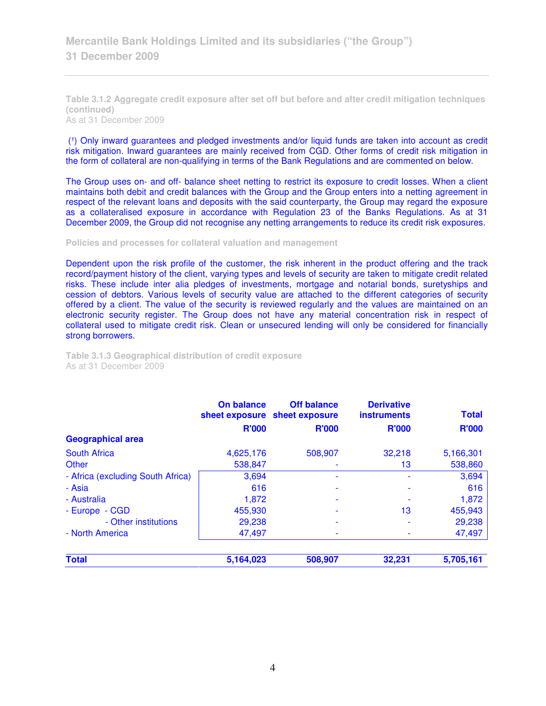**Table 3.1.2 Aggregate credit exposure after set off but before and after credit mitigation techniques (continued)**  As at 31 December 2009

(1) Only inward guarantees and pledged investments and/or liquid funds are taken into account as credit risk mitigation. Inward guarantees are mainly received from CGD. Other forms of credit risk mitigation in the form of collateral are non-qualifying in terms of the Bank Regulations and are commented on below.

The Group uses on- and off- balance sheet netting to restrict its exposure to credit losses. When a client maintains both debit and credit balances with the Group and the Group enters into a netting agreement in respect of the relevant loans and deposits with the said counterparty, the Group may regard the exposure as a collateralised exposure in accordance with Regulation 23 of the Banks Regulations. As at 31 December 2009, the Group did not recognise any netting arrangements to reduce its credit risk exposures.

#### **Policies and processes for collateral valuation and management**

Dependent upon the risk profile of the customer, the risk inherent in the product offering and the track record/payment history of the client, varying types and levels of security are taken to mitigate credit related risks. These include inter alia pledges of investments, mortgage and notarial bonds, suretyships and cession of debtors. Various levels of security value are attached to the different categories of security offered by a client. The value of the security is reviewed regularly and the values are maintained on an electronic security register. The Group does not have any material concentration risk in respect of collateral used to mitigate credit risk. Clean or unsecured lending will only be considered for financially strong borrowers.

| <b>Derivative</b><br><b>instruments</b> | <b>Off balance</b><br>sheet exposure sheet exposure | <b>On balance</b> |
|-----------------------------------------|-----------------------------------------------------|-------------------|
| <b>R'000</b>                            | <b>R'000</b>                                        | <b>R'000</b>      |

**Table 3.1.3 Geographical distribution of credit exposure**  As at 31 December 2009

|                                   |              | sheet exposure sheet exposure | <b>instruments</b> | <b>Total</b> |
|-----------------------------------|--------------|-------------------------------|--------------------|--------------|
|                                   | <b>R'000</b> | <b>R'000</b>                  | <b>R'000</b>       | <b>R'000</b> |
| <b>Geographical area</b>          |              |                               |                    |              |
| <b>South Africa</b>               | 4,625,176    | 508,907                       | 32,218             | 5,166,301    |
| Other                             | 538,847      |                               | 13                 | 538,860      |
| - Africa (excluding South Africa) | 3,694        |                               |                    | 3,694        |
| - Asia                            | 616          |                               |                    | 616          |
| - Australia                       | 1,872        |                               |                    | 1,872        |
| - Europe - CGD                    | 455,930      |                               | 13                 | 455,943      |
| - Other institutions              | 29,238       |                               |                    | 29,238       |
| - North America                   | 47,497       |                               |                    | 47,497       |
| <b>Total</b>                      | 5,164,023    | 508,907                       | 32,231             | 5,705,161    |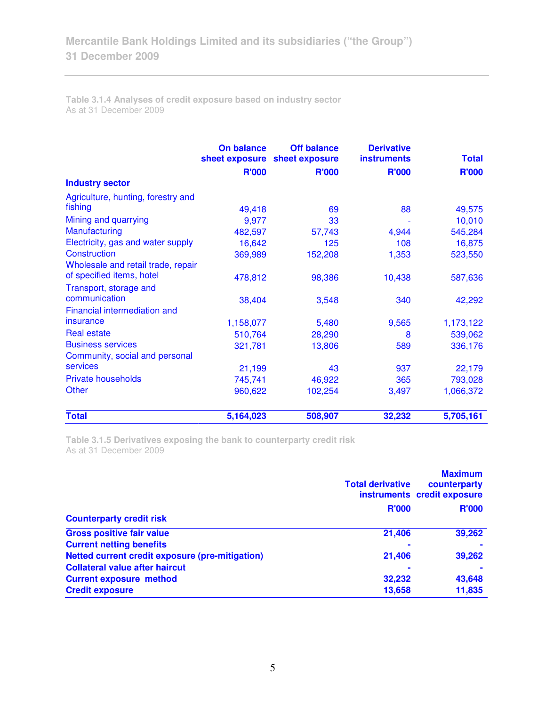**Table 3.1.4 Analyses of credit exposure based on industry sector**  As at 31 December 2009

|                                    | On balance   | <b>Off balance</b><br>sheet exposure sheet exposure | <b>Derivative</b><br><b>instruments</b> | <b>Total</b> |
|------------------------------------|--------------|-----------------------------------------------------|-----------------------------------------|--------------|
|                                    | <b>R'000</b> | <b>R'000</b>                                        | <b>R'000</b>                            | <b>R'000</b> |
| <b>Industry sector</b>             |              |                                                     |                                         |              |
| Agriculture, hunting, forestry and |              |                                                     |                                         |              |
| fishing                            | 49,418       | 69                                                  | 88                                      | 49,575       |
| Mining and quarrying               | 9,977        | 33                                                  |                                         | 10,010       |
| <b>Manufacturing</b>               | 482,597      | 57,743                                              | 4,944                                   | 545,284      |
| Electricity, gas and water supply  | 16,642       | 125                                                 | 108                                     | 16,875       |
| Construction                       | 369,989      | 152,208                                             | 1,353                                   | 523,550      |
| Wholesale and retail trade, repair |              |                                                     |                                         |              |
| of specified items, hotel          | 478,812      | 98,386                                              | 10,438                                  | 587,636      |
| Transport, storage and             |              |                                                     |                                         |              |
| communication                      | 38,404       | 3,548                                               | 340                                     | 42,292       |
| Financial intermediation and       |              |                                                     |                                         |              |
| insurance                          | 1,158,077    | 5,480                                               | 9,565                                   | 1,173,122    |
| <b>Real estate</b>                 | 510,764      | 28,290                                              | 8                                       | 539,062      |
| <b>Business services</b>           | 321,781      | 13,806                                              | 589                                     | 336,176      |
| Community, social and personal     |              |                                                     |                                         |              |
| services                           | 21,199       | 43                                                  | 937                                     | 22,179       |
| <b>Private households</b>          | 745,741      | 46,922                                              | 365                                     | 793,028      |
| <b>Other</b>                       | 960,622      | 102,254                                             | 3,497                                   | 1,066,372    |
| <b>Total</b>                       | 5,164,023    | 508,907                                             | 32,232                                  | 5,705,161    |

**Table 3.1.5 Derivatives exposing the bank to counterparty credit risk**  As at 31 December 2009

|                                                 | <b>Total derivative</b> | <b>Maximum</b><br>counterparty<br>instruments credit exposure |
|-------------------------------------------------|-------------------------|---------------------------------------------------------------|
| <b>Counterparty credit risk</b>                 | <b>R'000</b>            | <b>R'000</b>                                                  |
| <b>Gross positive fair value</b>                | 21,406                  | 39,262                                                        |
| <b>Current netting benefits</b>                 | ۰                       |                                                               |
| Netted current credit exposure (pre-mitigation) | 21,406                  | 39,262                                                        |
| <b>Collateral value after haircut</b>           | ۰                       |                                                               |
| <b>Current exposure method</b>                  | 32,232                  | 43,648                                                        |
| <b>Credit exposure</b>                          | 13,658                  | 11,835                                                        |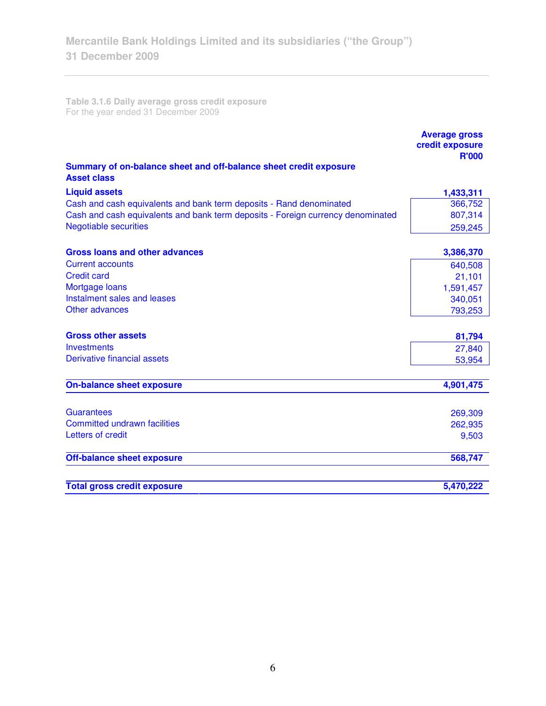**Table 3.1.6 Daily average gross credit exposure**  For the year ended 31 December 2009

|                                                                                         | <b>Average gross</b><br>credit exposure<br><b>R'000</b> |
|-----------------------------------------------------------------------------------------|---------------------------------------------------------|
| Summary of on-balance sheet and off-balance sheet credit exposure<br><b>Asset class</b> |                                                         |
| <b>Liquid assets</b>                                                                    | 1,433,311                                               |
| Cash and cash equivalents and bank term deposits - Rand denominated                     | 366,752                                                 |
| Cash and cash equivalents and bank term deposits - Foreign currency denominated         | 807,314                                                 |
| <b>Negotiable securities</b>                                                            | 259,245                                                 |
| <b>Gross loans and other advances</b>                                                   | 3,386,370                                               |
| <b>Current accounts</b>                                                                 | 640,508                                                 |
| <b>Credit card</b>                                                                      | 21,101                                                  |
| Mortgage loans                                                                          | 1,591,457                                               |
| Instalment sales and leases                                                             | 340,051                                                 |
| Other advances                                                                          | 793,253                                                 |
| <b>Gross other assets</b>                                                               | 81,794                                                  |
| Investments                                                                             | 27,840                                                  |
| <b>Derivative financial assets</b>                                                      | 53,954                                                  |
| <b>On-balance sheet exposure</b>                                                        | 4,901,475                                               |
|                                                                                         |                                                         |
| <b>Guarantees</b>                                                                       | 269,309                                                 |
| <b>Committed undrawn facilities</b>                                                     | 262,935                                                 |
| Letters of credit                                                                       | 9,503                                                   |
| <b>Off-balance sheet exposure</b>                                                       | 568,747                                                 |
| <b>Total gross credit exposure</b>                                                      | 5,470,222                                               |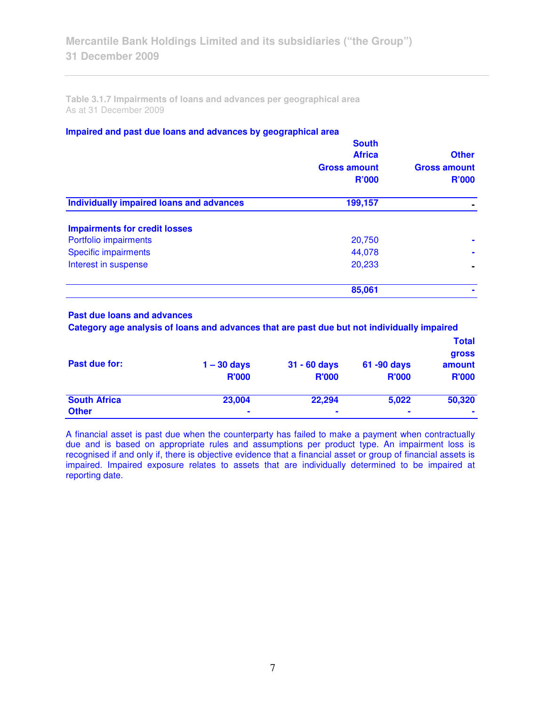**Table 3.1.7 Impairments of loans and advances per geographical area**  As at 31 December 2009

### **Impaired and past due loans and advances by geographical area**

| <b>South</b><br><b>Africa</b><br><b>Gross amount</b><br><b>R'000</b> | <b>Other</b><br><b>Gross amount</b><br><b>R'000</b> |
|----------------------------------------------------------------------|-----------------------------------------------------|
| Individually impaired loans and advances<br>199,157                  |                                                     |
|                                                                      |                                                     |
| 20,750                                                               |                                                     |
| 44,078                                                               |                                                     |
| 20,233                                                               |                                                     |
| 85,061                                                               |                                                     |
|                                                                      |                                                     |

## **Past due loans and advances**

 **Category age analysis of loans and advances that are past due but not individually impaired** 

|                     |               |                |                | <b>Total</b><br><b>gross</b> |
|---------------------|---------------|----------------|----------------|------------------------------|
| Past due for:       | $1 - 30$ days | $31 - 60$ days | 61 -90 days    | amount                       |
|                     | <b>R'000</b>  | <b>R'000</b>   | <b>R'000</b>   | <b>R'000</b>                 |
| <b>South Africa</b> | 23,004        | 22,294         | 5,022          | 50,320                       |
| <b>Other</b>        | ۰             | ۰              | $\blacksquare$ |                              |

A financial asset is past due when the counterparty has failed to make a payment when contractually due and is based on appropriate rules and assumptions per product type. An impairment loss is recognised if and only if, there is objective evidence that a financial asset or group of financial assets is impaired. Impaired exposure relates to assets that are individually determined to be impaired at reporting date.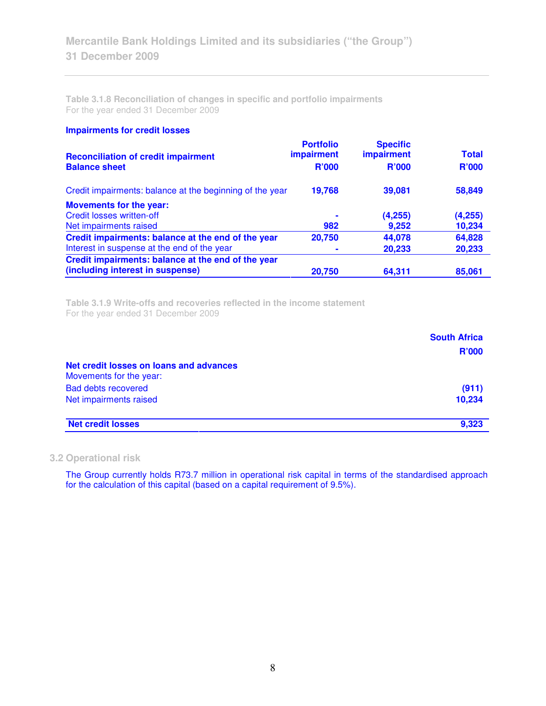**Table 3.1.8 Reconciliation of changes in specific and portfolio impairments**  For the year ended 31 December 2009

### **Impairments for credit losses**

| <b>Reconciliation of credit impairment</b><br><b>Balance sheet</b> | <b>Portfolio</b><br><b>impairment</b><br><b>R'000</b> | <b>Specific</b><br><b>impairment</b><br>R'000 | <b>Total</b><br><b>R'000</b> |
|--------------------------------------------------------------------|-------------------------------------------------------|-----------------------------------------------|------------------------------|
| Credit impairments: balance at the beginning of the year           | 19,768                                                | 39,081                                        | 58,849                       |
| <b>Movements for the year:</b>                                     |                                                       |                                               |                              |
| <b>Credit losses written-off</b>                                   |                                                       | (4,255)                                       | (4,255)                      |
| Net impairments raised                                             | 982                                                   | 9,252                                         | 10,234                       |
| Credit impairments: balance at the end of the year                 | 20,750                                                | 44,078                                        | 64,828                       |
| Interest in suspense at the end of the year                        |                                                       | 20,233                                        | 20,233                       |
| Credit impairments: balance at the end of the year                 |                                                       |                                               |                              |
| (including interest in suspense)                                   | 20,750                                                | 64,311                                        | 85,061                       |

**Table 3.1.9 Write-offs and recoveries reflected in the income statement**  For the year ended 31 December 2009

|                                                                    | <b>South Africa</b><br><b>R'000</b> |
|--------------------------------------------------------------------|-------------------------------------|
| Net credit losses on loans and advances<br>Movements for the year: |                                     |
| <b>Bad debts recovered</b>                                         | (911)                               |
| Net impairments raised                                             | 10,234                              |
| <b>Net credit losses</b>                                           | 9.323                               |

## **3.2 Operational risk**

The Group currently holds R73.7 million in operational risk capital in terms of the standardised approach for the calculation of this capital (based on a capital requirement of 9.5%).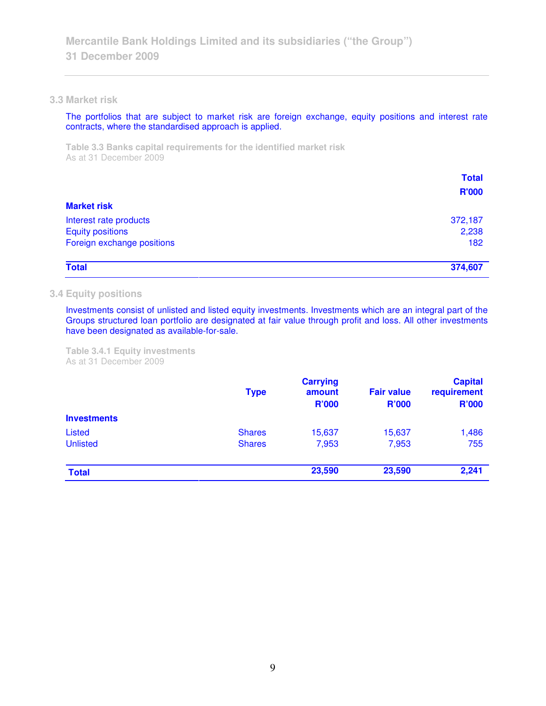### **3.3 Market risk**

The portfolios that are subject to market risk are foreign exchange, equity positions and interest rate contracts, where the standardised approach is applied.

**Table 3.3 Banks capital requirements for the identified market risk**  As at 31 December 2009

|                            | <b>Total</b><br><b>R'000</b> |
|----------------------------|------------------------------|
| <b>Market risk</b>         |                              |
| Interest rate products     | 372,187                      |
| <b>Equity positions</b>    | 2,238                        |
| Foreign exchange positions | 182                          |
| <b>Total</b>               | 374,607                      |

### **3.4 Equity positions**

Investments consist of unlisted and listed equity investments. Investments which are an integral part of the Groups structured loan portfolio are designated at fair value through profit and loss. All other investments have been designated as available-for-sale.

**Table 3.4.1 Equity investments**  As at 31 December 2009

|                    | <b>Type</b>   | <b>Carrying</b><br>amount<br><b>R'000</b> | <b>Fair value</b><br><b>R'000</b> | <b>Capital</b><br>requirement<br><b>R'000</b> |
|--------------------|---------------|-------------------------------------------|-----------------------------------|-----------------------------------------------|
| <b>Investments</b> | <b>Shares</b> | 15,637                                    | 15,637                            | 1,486                                         |
| Listed             |               |                                           |                                   |                                               |
| <b>Unlisted</b>    | <b>Shares</b> | 7,953                                     | 7,953                             | 755                                           |
| <b>Total</b>       |               | 23,590                                    | 23,590                            | 2,241                                         |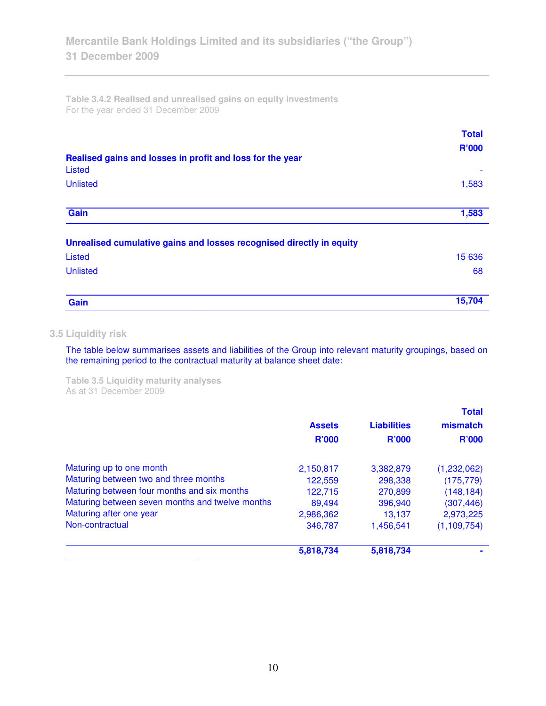**Table 3.4.2 Realised and unrealised gains on equity investments**  For the year ended 31 December 2009

| Realised gains and losses in profit and loss for the year            | <b>Total</b><br><b>R'000</b> |
|----------------------------------------------------------------------|------------------------------|
| <b>Listed</b>                                                        |                              |
| <b>Unlisted</b>                                                      | 1,583                        |
| Gain                                                                 | 1,583                        |
| Unrealised cumulative gains and losses recognised directly in equity |                              |
| Listed                                                               | 15 636                       |
| <b>Unlisted</b>                                                      | 68                           |
| Gain                                                                 | 15,704                       |

# **3.5 Liquidity risk**

The table below summarises assets and liabilities of the Group into relevant maturity groupings, based on the remaining period to the contractual maturity at balance sheet date:

**Table 3.5 Liquidity maturity analyses**  As at 31 December 2009

|                                                 |               |                    | <b>Total</b>  |
|-------------------------------------------------|---------------|--------------------|---------------|
|                                                 | <b>Assets</b> | <b>Liabilities</b> | mismatch      |
|                                                 | <b>R'000</b>  | <b>R'000</b>       | <b>R'000</b>  |
| Maturing up to one month                        | 2,150,817     | 3,382,879          | (1,232,062)   |
| Maturing between two and three months           | 122,559       | 298,338            | (175, 779)    |
| Maturing between four months and six months     | 122,715       | 270,899            | (148, 184)    |
| Maturing between seven months and twelve months | 89,494        | 396,940            | (307, 446)    |
| Maturing after one year                         | 2,986,362     | 13,137             | 2,973,225     |
| Non-contractual                                 | 346,787       | 1,456,541          | (1, 109, 754) |
|                                                 | 5,818,734     | 5,818,734          |               |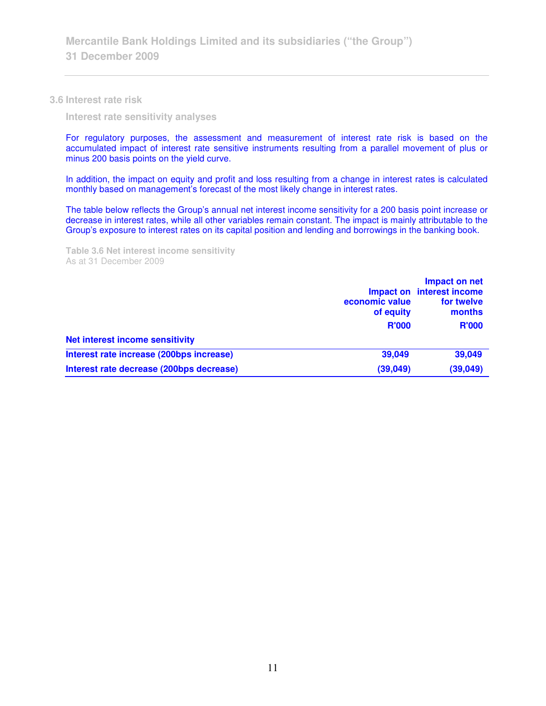### **3.6 Interest rate risk**

 **Interest rate sensitivity analyses** 

For regulatory purposes, the assessment and measurement of interest rate risk is based on the accumulated impact of interest rate sensitive instruments resulting from a parallel movement of plus or minus 200 basis points on the yield curve.

In addition, the impact on equity and profit and loss resulting from a change in interest rates is calculated monthly based on management's forecast of the most likely change in interest rates.

The table below reflects the Group's annual net interest income sensitivity for a 200 basis point increase or decrease in interest rates, while all other variables remain constant. The impact is mainly attributable to the Group's exposure to interest rates on its capital position and lending and borrowings in the banking book.

**Table 3.6 Net interest income sensitivity**  As at 31 December 2009

|                                          | economic value<br>of equity<br><b>R'000</b> | Impact on net<br>Impact on interest income<br>for twelve<br>months<br><b>R'000</b> |
|------------------------------------------|---------------------------------------------|------------------------------------------------------------------------------------|
| <b>Net interest income sensitivity</b>   |                                             |                                                                                    |
| Interest rate increase (200bps increase) | 39,049                                      | 39,049                                                                             |
| Interest rate decrease (200bps decrease) | (39,049)                                    | (39,049)                                                                           |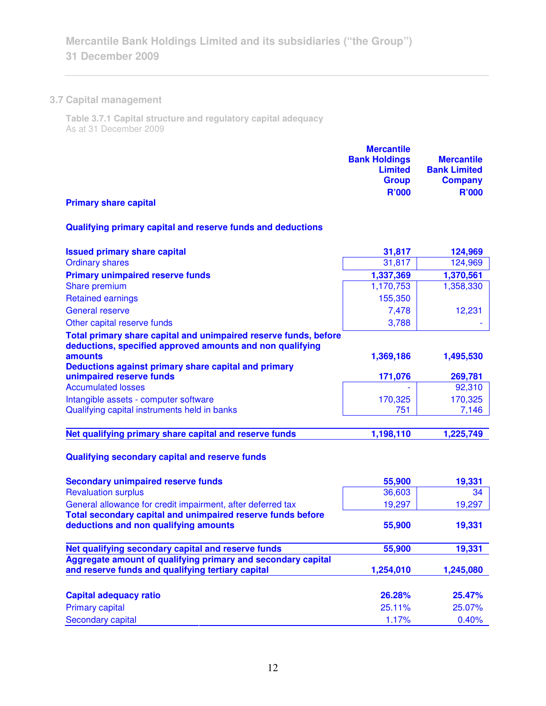# **3.7 Capital management**

**Table 3.7.1 Capital structure and regulatory capital adequacy**  As at 31 December 2009

| <b>Mercantile</b>    |                     |
|----------------------|---------------------|
| <b>Bank Holdings</b> | <b>Mercantile</b>   |
| <b>Limited</b>       | <b>Bank Limited</b> |
| <b>Group</b>         | <b>Company</b>      |
| <b>R'000</b>         | <b>R'000</b>        |

# **Primary share capital**

# **Qualifying primary capital and reserve funds and deductions**

| <b>Issued primary share capital</b>                                                                                           | 31,817    | 124,969   |
|-------------------------------------------------------------------------------------------------------------------------------|-----------|-----------|
| <b>Ordinary shares</b>                                                                                                        | 31,817    | 124,969   |
| <b>Primary unimpaired reserve funds</b>                                                                                       | 1,337,369 | 1,370,561 |
| Share premium                                                                                                                 | 1,170,753 | 1,358,330 |
| <b>Retained earnings</b>                                                                                                      | 155,350   |           |
| <b>General reserve</b>                                                                                                        | 7,478     | 12,231    |
| Other capital reserve funds                                                                                                   | 3,788     |           |
| Total primary share capital and unimpaired reserve funds, before<br>deductions, specified approved amounts and non qualifying |           |           |
| amounts                                                                                                                       | 1,369,186 | 1,495,530 |
| Deductions against primary share capital and primary                                                                          |           |           |
| unimpaired reserve funds                                                                                                      | 171,076   | 269,781   |
| <b>Accumulated losses</b>                                                                                                     |           | 92,310    |
| Intangible assets - computer software                                                                                         | 170,325   | 170,325   |
| Qualifying capital instruments held in banks                                                                                  | 751       | 7,146     |
|                                                                                                                               |           |           |
| Net qualifying primary share capital and reserve funds                                                                        | 1,198,110 | 1,225,749 |
| Qualifying secondary capital and reserve funds                                                                                |           |           |
| <b>Secondary unimpaired reserve funds</b>                                                                                     | 55,900    | 19,331    |
| <b>Revaluation surplus</b>                                                                                                    | 36,603    | 34        |
| General allowance for credit impairment, after deferred tax                                                                   | 19,297    | 19,297    |
| Total secondary capital and unimpaired reserve funds before                                                                   |           |           |
| deductions and non qualifying amounts                                                                                         | 55,900    | 19,331    |
| Net qualifying secondary capital and reserve funds                                                                            | 55,900    | 19,331    |
| Aggregate amount of qualifying primary and secondary capital                                                                  |           |           |
| and reserve funds and qualifying tertiary capital                                                                             | 1,254,010 | 1,245,080 |
|                                                                                                                               |           |           |

| 26.28%    | <b>25.47%</b> |
|-----------|---------------|
| $25.11\%$ | <b>25.07%</b> |
| 1.17%     | $0.40\%$      |
|           |               |